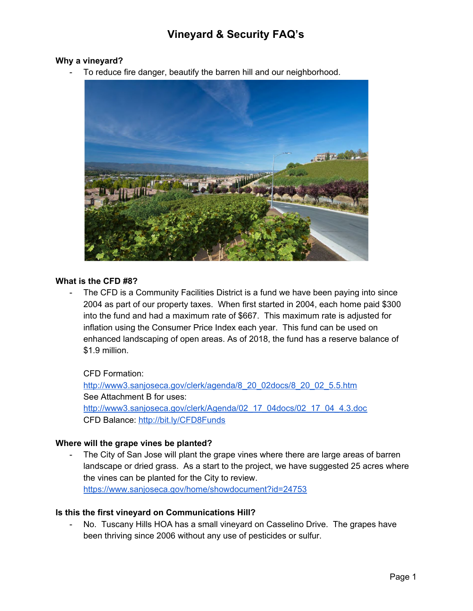# **Vineyard & Security FAQ's**

# **Why a vineyard?**

To reduce fire danger, beautify the barren hill and our neighborhood.



### **What is the CFD #8?**

The CFD is a Community Facilities District is a fund we have been paying into since 2004 as part of our property taxes. When first started in 2004, each home paid \$300 into the fund and had a maximum rate of \$667. This maximum rate is adjusted for inflation using the Consumer Price Index each year. This fund can be used on enhanced landscaping of open areas. As of 2018, the fund has a reserve balance of \$1.9 million.

## CFD Formation:

[http://www3.sanjoseca.gov/clerk/agenda/8\\_20\\_02docs/8\\_20\\_02\\_5.5.htm](http://www3.sanjoseca.gov/clerk/agenda/8_20_02docs/8_20_02_5.5.htm) See Attachment B for uses: [http://www3.sanjoseca.gov/clerk/Agenda/02\\_17\\_04docs/02\\_17\\_04\\_4.3.doc](http://www3.sanjoseca.gov/clerk/Agenda/02_17_04docs/02_17_04_4.3.doc) CFD Balance: <http://bit.ly/CFD8Funds>

#### **Where will the grape vines be planted?**

The City of San Jose will plant the grape vines where there are large areas of barren landscape or dried grass. As a start to the project, we have suggested 25 acres where the vines can be planted for the City to review. <https://www.sanjoseca.gov/home/showdocument?id=24753>

#### **Is this the first vineyard on Communications Hill?**

- No. Tuscany Hills HOA has a small vineyard on Casselino Drive. The grapes have been thriving since 2006 without any use of pesticides or sulfur.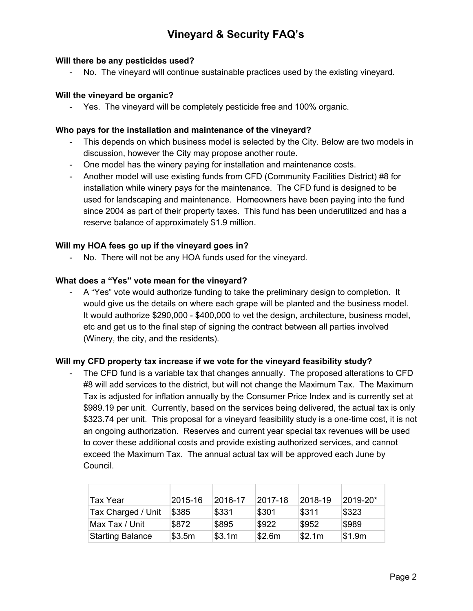# **Vineyard & Security FAQ's**

## **Will there be any pesticides used?**

- No. The vineyard will continue sustainable practices used by the existing vineyard.

### **Will the vineyard be organic?**

- Yes. The vineyard will be completely pesticide free and 100% organic.

### **Who pays for the installation and maintenance of the vineyard?**

- This depends on which business model is selected by the City. Below are two models in discussion, however the City may propose another route.
- One model has the winery paying for installation and maintenance costs.
- Another model will use existing funds from CFD (Community Facilities District) #8 for installation while winery pays for the maintenance. The CFD fund is designed to be used for landscaping and maintenance. Homeowners have been paying into the fund since 2004 as part of their property taxes. This fund has been underutilized and has a reserve balance of approximately \$1.9 million.

### **Will my HOA fees go up if the vineyard goes in?**

- No. There will not be any HOA funds used for the vineyard.

### **What does a "Yes" vote mean for the vineyard?**

A "Yes" vote would authorize funding to take the preliminary design to completion. It would give us the details on where each grape will be planted and the business model. It would authorize \$290,000 - \$400,000 to vet the design, architecture, business model, etc and get us to the final step of signing the contract between all parties involved (Winery, the city, and the residents).

#### **Will my CFD property tax increase if we vote for the vineyard feasibility study?**

The CFD fund is a variable tax that changes annually. The proposed alterations to CFD #8 will add services to the district, but will not change the Maximum Tax. The Maximum Tax is adjusted for inflation annually by the Consumer Price Index and is currently set at \$989.19 per unit. Currently, based on the services being delivered, the actual tax is only \$323.74 per unit. This proposal for a vineyard feasibility study is a one-time cost, it is not an ongoing authorization. Reserves and current year special tax revenues will be used to cover these additional costs and provide existing authorized services, and cannot exceed the Maximum Tax. The annual actual tax will be approved each June by Council.

| ∣Tax Year               | 2015-16 | 2016-17 | 2017-18 | 2018-19 | 2019-20* |
|-------------------------|---------|---------|---------|---------|----------|
| Tax Charged / Unit      | \$385   | \$331   | \$301   | \$311   | \$323    |
| Max Tax / Unit          | \$872   | \$895   | \$922   | \$952   | \$989    |
| <b>Starting Balance</b> | \$3.5m  | \$3.1m  | \$2.6m  | \$2.1m  | \$1.9m   |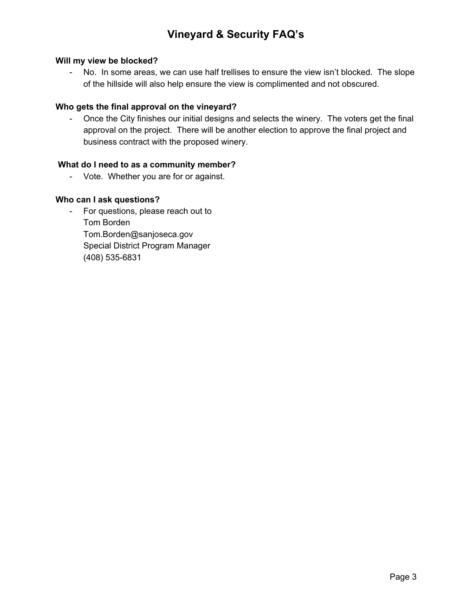# **Vineyard & Security FAQ's**

## **Will my view be blocked?**

- No. In some areas, we can use half trellises to ensure the view isn't blocked. The slope of the hillside will also help ensure the view is complimented and not obscured.

## **Who gets the final approval on the vineyard?**

- Once the City finishes our initial designs and selects the winery. The voters get the final approval on the project. There will be another election to approve the final project and business contract with the proposed winery.

### **What do I need to as a community member?**

- Vote. Whether you are for or against.

# **Who can I ask questions?**

- For questions, please reach out to Tom Borden Tom.Borden@sanjoseca.gov Special District Program Manager (408) 535-6831